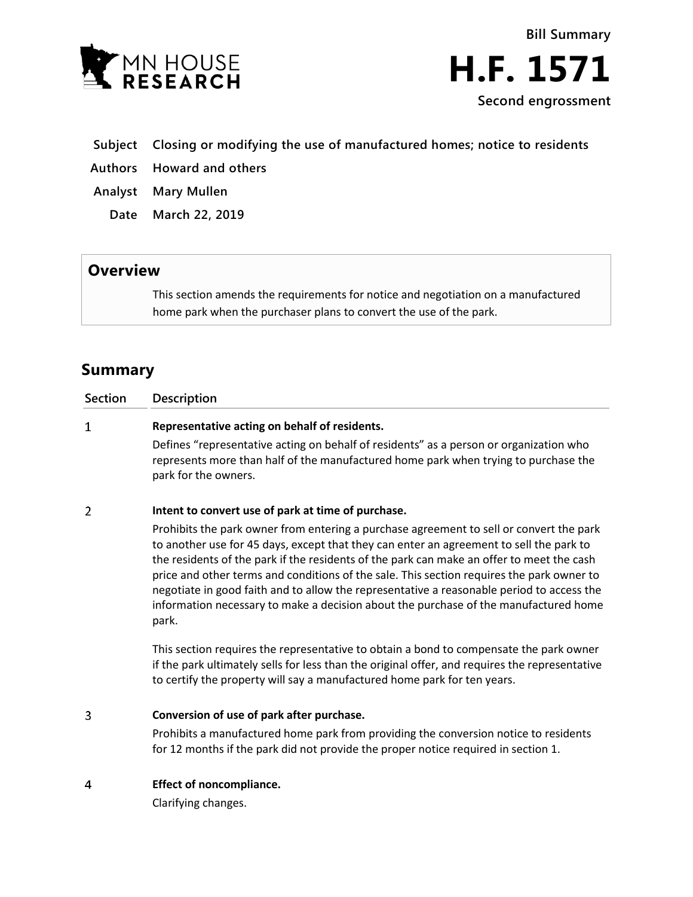

**Bill Summary H.F. 1571 Second engrossment**

- **Subject Closing or modifying the use of manufactured homes; notice to residents**
- **Authors Howard and others**
- **Analyst Mary Mullen**
	- **Date March 22, 2019**

## **Overview**

This section amends the requirements for notice and negotiation on a manufactured home park when the purchaser plans to convert the use of the park.

# **Summary**

| <b>Section</b> | <b>Description</b>                                                                                                                                                                                                                                                                                                                                                                                                                                                        |
|----------------|---------------------------------------------------------------------------------------------------------------------------------------------------------------------------------------------------------------------------------------------------------------------------------------------------------------------------------------------------------------------------------------------------------------------------------------------------------------------------|
|                | Representative acting on behalf of residents.                                                                                                                                                                                                                                                                                                                                                                                                                             |
|                | Defines "representative acting on behalf of residents" as a person or organization who<br>represents more than half of the manufactured home park when trying to purchase the<br>park for the owners.                                                                                                                                                                                                                                                                     |
|                | Intent to convert use of park at time of purchase.                                                                                                                                                                                                                                                                                                                                                                                                                        |
|                | Prohibits the park owner from entering a purchase agreement to sell or convert the park<br>to another use for 45 days, except that they can enter an agreement to sell the park to<br>the residents of the park if the residents of the park can make an offer to meet the cash<br>price and other terms and conditions of the sale. This section requires the park owner to<br>necetiate in cood faith and to allow the representative a reasonable period to access the |

negotiate in good faith and to allow the representative a reasonable period to access the information necessary to make a decision about the purchase of the manufactured home park.

This section requires the representative to obtain a bond to compensate the park owner if the park ultimately sells for less than the original offer, and requires the representative to certify the property will say a manufactured home park for ten years.

3 **Conversion of use of park after purchase.**

> Prohibits a manufactured home park from providing the conversion notice to residents for 12 months if the park did not provide the proper notice required in section 1.

**Effect of noncompliance.**  $\overline{4}$ 

Clarifying changes.